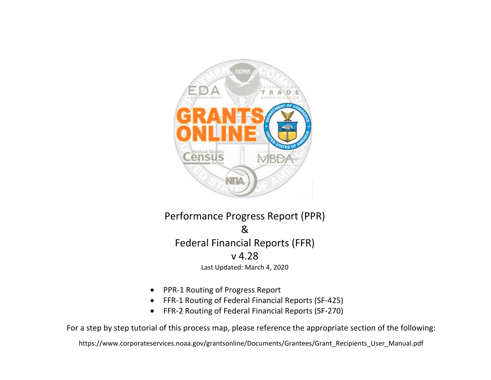

Performance Progress Report (PPR) &Federal Financial Reports (FFR) v 4.28Last Updated: March 4, 2020

- $\bullet$ PPR‐1 Routing of Progress Report
- $\bullet$ FFR‐1 Routing of Federal Financial Reports (SF‐425)
- $\bullet$ FFR‐2 Routing of Federal Financial Reports (SF‐270)

For a step by step tutorial of this process map, please reference the appropriate section of the following:

https://www.corporateservices.noaa.gov/grantsonline/Documents/Grantees/Grant\_Recipients\_User\_Manual.pdf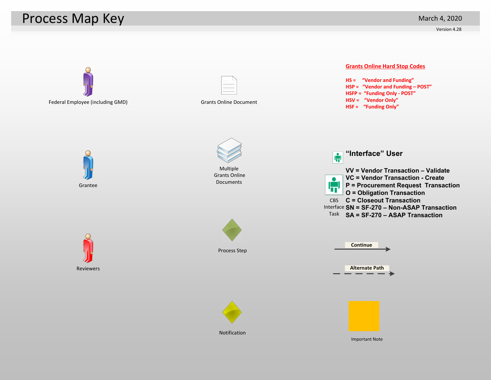## Process Map Key

Version 4.28

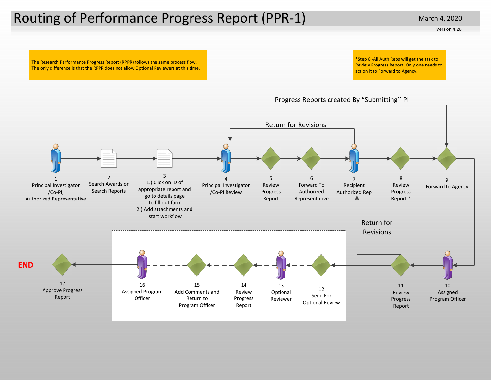## Routing of Performance Progress Report (PPR‐1)

Version 4.28

The Research Performance Progress Report (RPPR) follows the same process flow. The only difference is that the RPPR does not allow Optional Reviewers at this time. \*Step 8 ‐All Auth Reps will get the task to Review Progress Report. Only one needs to act on it to Forward to Agency.



#### Progress Reports created By "Submitting'' PI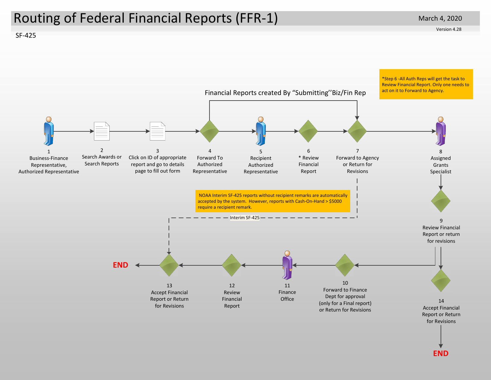## Routing of Federal Financial Reports (FFR‐1)

SF‐425